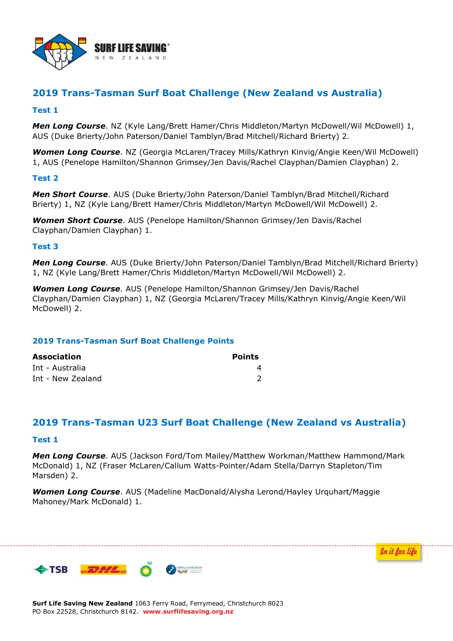

# **2019 Trans-Tasman Surf Boat Challenge (New Zealand vs Australia)**

## **Test 1**

*Men Long Course*. NZ (Kyle Lang/Brett Hamer/Chris Middleton/Martyn McDowell/Wil McDowell) 1, AUS (Duke Brierty/John Paterson/Daniel Tamblyn/Brad Mitchell/Richard Brierty) 2.

*Women Long Course*. NZ (Georgia McLaren/Tracey Mills/Kathryn Kinvig/Angie Keen/Wil McDowell) 1, AUS (Penelope Hamilton/Shannon Grimsey/Jen Davis/Rachel Clayphan/Damien Clayphan) 2.

## **Test 2**

*Men Short Course*. AUS (Duke Brierty/John Paterson/Daniel Tamblyn/Brad Mitchell/Richard Brierty) 1, NZ (Kyle Lang/Brett Hamer/Chris Middleton/Martyn McDowell/Wil McDowell) 2.

*Women Short Course*. AUS (Penelope Hamilton/Shannon Grimsey/Jen Davis/Rachel Clayphan/Damien Clayphan) 1.

### **Test 3**

*Men Long Course*. AUS (Duke Brierty/John Paterson/Daniel Tamblyn/Brad Mitchell/Richard Brierty) 1, NZ (Kyle Lang/Brett Hamer/Chris Middleton/Martyn McDowell/Wil McDowell) 2.

*Women Long Course*. AUS (Penelope Hamilton/Shannon Grimsey/Jen Davis/Rachel Clayphan/Damien Clayphan) 1, NZ (Georgia McLaren/Tracey Mills/Kathryn Kinvig/Angie Keen/Wil McDowell) 2.

## **2019 Trans-Tasman Surf Boat Challenge Points**

| <b>Association</b> | <b>Points</b> |
|--------------------|---------------|
| Int - Australia    |               |
| Int - New Zealand  |               |

## **2019 Trans-Tasman U23 Surf Boat Challenge (New Zealand vs Australia)**

#### **Test 1**

*Men Long Course*. AUS (Jackson Ford/Tom Mailey/Matthew Workman/Matthew Hammond/Mark McDonald) 1, NZ (Fraser McLaren/Callum Watts-Pointer/Adam Stella/Darryn Stapleton/Tim Marsden) 2.

*Women Long Course*. AUS (Madeline MacDonald/Alysha Lerond/Hayley Urquhart/Maggie Mahoney/Mark McDonald) 1.

In it for life